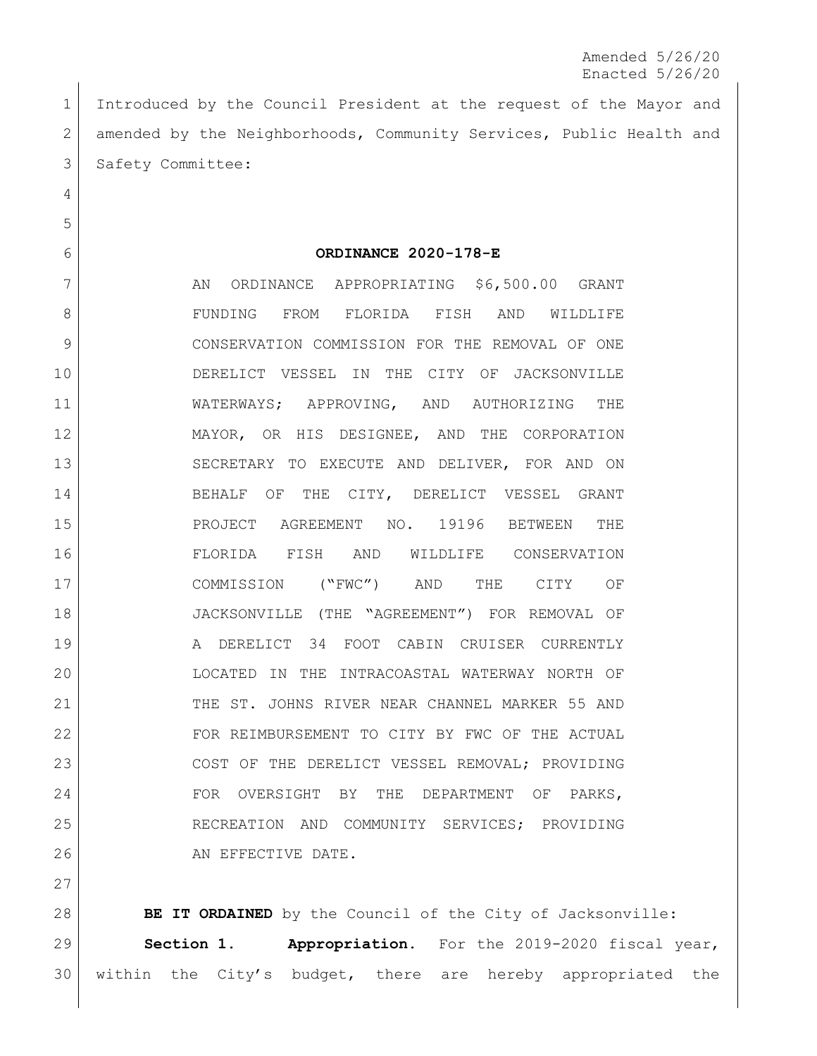Amended 5/26/20 Enacted 5/26/20

 Introduced by the Council President at the request of the Mayor and 2 amended by the Neighborhoods, Community Services, Public Health and 3 Safety Committee:

**ORDINANCE 2020-178-E**

7 AN ORDINANCE APPROPRIATING \$6,500.00 GRANT FUNDING FROM FLORIDA FISH AND WILDLIFE CONSERVATION COMMISSION FOR THE REMOVAL OF ONE DERELICT VESSEL IN THE CITY OF JACKSONVILLE WATERWAYS; APPROVING, AND AUTHORIZING THE MAYOR, OR HIS DESIGNEE, AND THE CORPORATION SECRETARY TO EXECUTE AND DELIVER, FOR AND ON 14 BEHALF OF THE CITY, DERELICT VESSEL GRANT PROJECT AGREEMENT NO. 19196 BETWEEN THE FLORIDA FISH AND WILDLIFE CONSERVATION COMMISSION ("FWC") AND THE CITY OF JACKSONVILLE (THE "AGREEMENT") FOR REMOVAL OF A DERELICT 34 FOOT CABIN CRUISER CURRENTLY LOCATED IN THE INTRACOASTAL WATERWAY NORTH OF 21 THE ST. JOHNS RIVER NEAR CHANNEL MARKER 55 AND FOR REIMBURSEMENT TO CITY BY FWC OF THE ACTUAL 23 COST OF THE DERELICT VESSEL REMOVAL; PROVIDING 24 FOR OVERSIGHT BY THE DEPARTMENT OF PARKS, 25 RECREATION AND COMMUNITY SERVICES; PROVIDING 26 AN EFFECTIVE DATE.

**BE IT ORDAINED** by the Council of the City of Jacksonville: **Section 1. Appropriation.** For the 2019-2020 fiscal year, within the City's budget, there are hereby appropriated the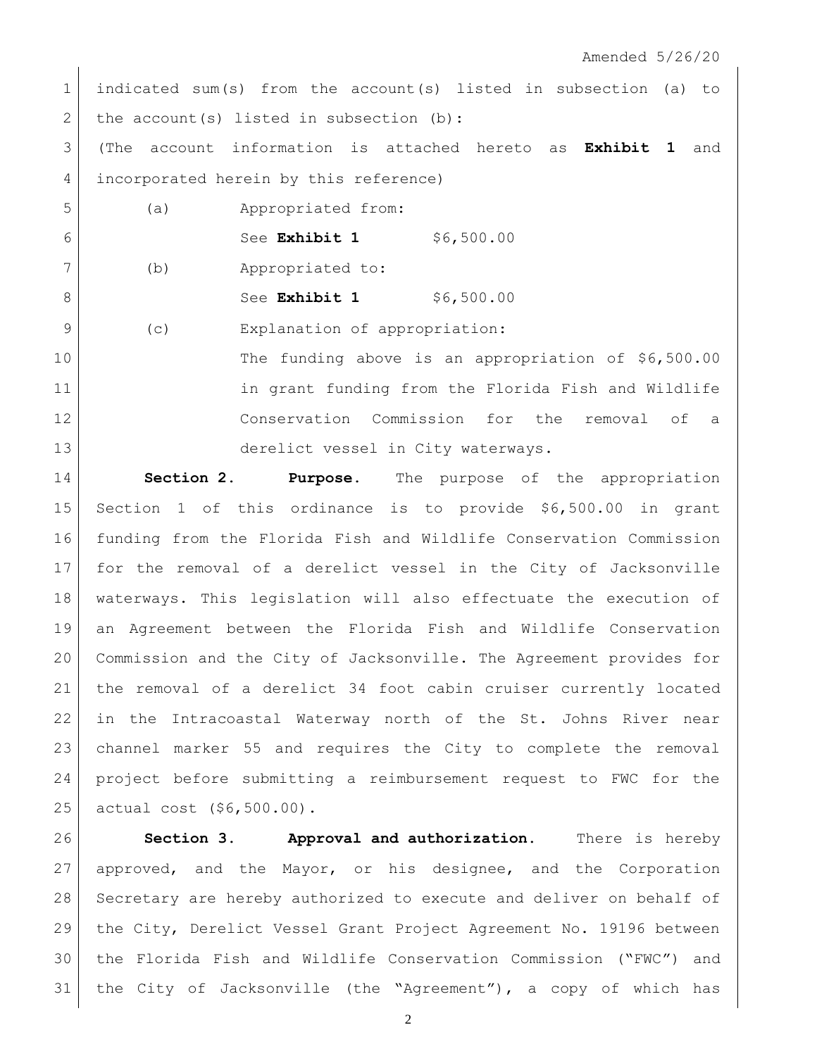| $\mathbf 1$   |      | indicated sum(s) from the account(s) listed in subsection (a) to |
|---------------|------|------------------------------------------------------------------|
| 2             |      | the $account(s)$ listed in subsection (b):                       |
| 3             | (The | account information is attached hereto as Exhibit 1 and          |
| 4             |      | incorporated herein by this reference)                           |
| 5             | (a)  | Appropriated from:                                               |
| 6             |      | See Exhibit 1 \$6,500.00                                         |
| 7             | (b)  | Appropriated to:                                                 |
| $\mathcal{B}$ |      | \$6,500.00<br>See Exhibit 1                                      |
| $\mathsf{Q}$  | (c)  | Explanation of appropriation:                                    |
| 10            |      | The funding above is an appropriation of \$6,500.00              |
| 11            |      | in grant funding from the Florida Fish and Wildlife              |
| 12            |      | Conservation Commission for the removal of a                     |
| 13            |      | derelict vessel in City waterways.                               |
| $\sim$ $\sim$ |      |                                                                  |

 $\mathbf{I}$ 

 **Section 2. Purpose.** The purpose of the appropriation Section 1 of this ordinance is to provide \$6,500.00 in grant funding from the Florida Fish and Wildlife Conservation Commission for the removal of a derelict vessel in the City of Jacksonville waterways. This legislation will also effectuate the execution of an Agreement between the Florida Fish and Wildlife Conservation Commission and the City of Jacksonville. The Agreement provides for the removal of a derelict 34 foot cabin cruiser currently located in the Intracoastal Waterway north of the St. Johns River near channel marker 55 and requires the City to complete the removal project before submitting a reimbursement request to FWC for the actual cost (\$6,500.00).

 **Section 3. Approval and authorization.** There is hereby 27 approved, and the Mayor, or his designee, and the Corporation Secretary are hereby authorized to execute and deliver on behalf of the City, Derelict Vessel Grant Project Agreement No. 19196 between the Florida Fish and Wildlife Conservation Commission ("FWC") and the City of Jacksonville (the "Agreement"), a copy of which has